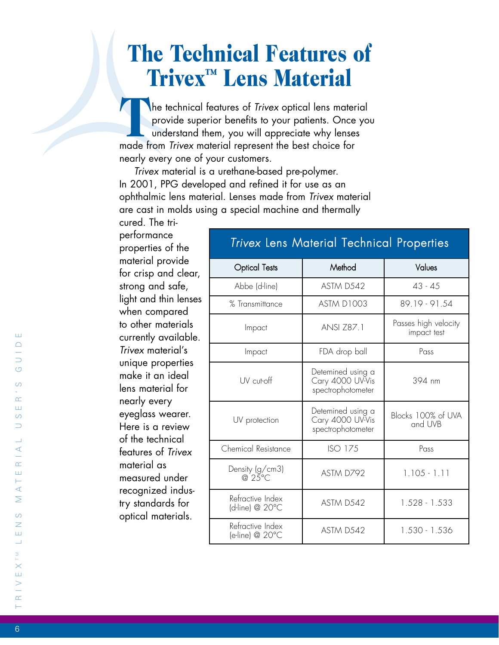# **The Technical Features of Trivex™ Lens Material**

The technical features of *Trivex* optical lens material<br>provide superior benefits to your patients. Once you<br>understand them, you will appreciate why lenses provide superior benefits to your patients. Once you understand them, you will appreciate why lenses made from *Trivex* material represent the best choice for nearly every one of your customers.

*Trivex* material is a urethane-based pre-polymer. In 2001, PPG developed and refined it for use as an ophthalmic lens material. Lenses made from *Trivex* material are cast in molds using a special machine and thermally cured. The tri-

performance properties of the material provide for crisp and clear, strong and safe, light and thin lenses when compared to other materials currently available. *Trivex* material's unique properties make it an ideal lens material for nearly every eyeglass wearer. Here is a review of the technical features of *Trivex* material as measured under recognized industry standards for optical materials.

#### *Trivex* Lens Material Technical Properties l l Optical Tests l Method Values l Abbe (d-line) ASTM D542 43 - 45 % Transmittance | ASTM D1003 | 89.19 - 91.54 Impact ANSI Z87.1 Passes high velocity impact test Impact FDA drop ball Pass UV cut-off Detemined using a Cary 4000 UV-Vis spectrophotometer 394 nm UV protection Detemined using a Cary 4000 UV-Vis spectrophotometer Blocks 100% of UVA and UVB Chemical Resistance | ISO 175 | Pass Density (g/cm3) @ 25°C ASTM D792 1.105 - 1.11 Refractive Index  $\left| \begin{array}{c} \text{Nematical} \\ \text{d-line} \end{array} \right|$   $\left| \begin{array}{c} \text{ASTM D542} \\ \text{D528 - 1.533} \end{array} \right|$ Refractive Index

Refractive index<br>(e-line) @ 20°C (e-line) ASTM D542 (e-line) @ 20°C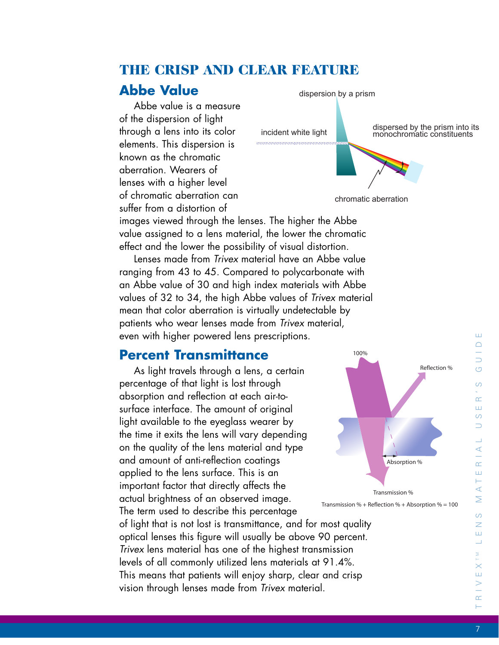# **THE CRISP AND CLEAR FEATURE**

# **Abbe Value**

Abbe value is a measure of the dispersion of light through a lens into its color elements. This dispersion is known as the chromatic aberration. Wearers of lenses with a higher level of chromatic aberration can suffer from a distortion of



chromatic aberration

100%

images viewed through the lenses. The higher the Abbe value assigned to a lens material, the lower the chromatic effect and the lower the possibility of visual distortion.

Lenses made from *Trivex* material have an Abbe value ranging from 43 to 45. Compared to polycarbonate with an Abbe value of 30 and high index materials with Abbe values of 32 to 34, the high Abbe values of *Trivex* material mean that color aberration is virtually undetectable by patients who wear lenses made from *Trivex* material, even with higher powered lens prescriptions.

## **Percent Transmittance**

As light travels through a lens, a certain percentage of that light is lost through absorption and reflection at each air-tosurface interface. The amount of original light available to the eyeglass wearer by the time it exits the lens will vary depending on the quality of the lens material and type and amount of anti-reflection coatings applied to the lens surface. This is an important factor that directly affects the actual brightness of an observed image. The term used to describe this percentage of light that is not lost is transmittance, and for most quality optical lenses this figure will usually be above 90 percent. *Trivex* lens material has one of the highest transmission levels of all commonly utilized lens materials at 91.4%. This means that patients will enjoy sharp, clear and crisp vision through lenses made from *Trivex* material.

Absorption %

Transmission %

#### 7

 $\vdash$ 

 $\alpha$ 

R I V E X T M L E N S M A T E R I A L U S E R ' S G U I D E

 $\prec$  $\infty$ Ш H  $\prec$  $\geq$  $\circ$  $\overline{z}$ Ш  $\overline{\phantom{0}}$ M<br>L  $\times$ Ш

Ш  $\triangle$  $\overline{\phantom{0}}$  $\overline{C}$  $\omega$  $\sim$  $\pm 1$  $\circ$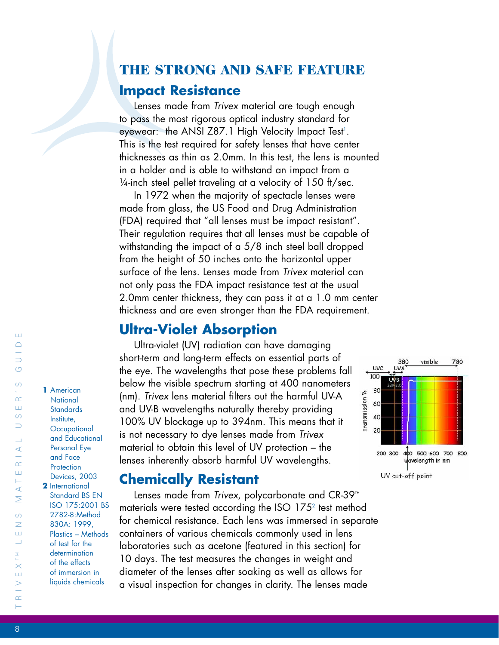## **THE STRONG AND SAFE FEATURE**

#### **Impact Resistance**

Lenses made from *Trivex* material are tough enough to pass the most rigorous optical industry standard for eyewear: the ANSI Z87.1 High Velocity Impact Test<sup>1</sup>. This is the test required for safety lenses that have center thicknesses as thin as 2.0mm. In this test, the lens is mounted in a holder and is able to withstand an impact from a ¼-inch steel pellet traveling at a velocity of 150 ft/sec.

In 1972 when the majority of spectacle lenses were made from glass, the US Food and Drug Administration (FDA) required that "all lenses must be impact resistant". Their regulation requires that all lenses must be capable of withstanding the impact of a 5/8 inch steel ball dropped from the height of 50 inches onto the horizontal upper surface of the lens. Lenses made from *Trivex* material can not only pass the FDA impact resistance test at the usual 2.0mm center thickness, they can pass it at a 1.0 mm center thickness and are even stronger than the FDA requirement.

### **Ultra-Violet Absorption**

Ultra-violet (UV) radiation can have damaging short-term and long-term effects on essential parts of the eye. The wavelengths that pose these problems fall below the visible spectrum starting at 400 nanometers (nm). *Trivex* lens material filters out the harmful UV-A and UV-B wavelengths naturally thereby providing 100% UV blockage up to 394nm. This means that it is not necessary to dye lenses made from *Trivex* material to obtain this level of UV protection – the lenses inherently absorb harmful UV wavelengths.

### **Chemically Resistant**

Lenses made from *Trivex*, polycarbonate and CR-39™ materials were tested according the ISO 175<sup>2</sup> test method for chemical resistance. Each lens was immersed in separate containers of various chemicals commonly used in lens laboratories such as acetone (featured in this section) for 10 days. The test measures the changes in weight and diameter of the lenses after soaking as well as allows for a visual inspection for changes in clarity. The lenses made



**1** American **National Standards** Institute, **Occupational** and Educational Personal Eye and Face **Protection** Devices, 2003 **2** International Standard BS EN ISO 175:2001 BS 2782-8:Method 830A: 1999, Plastics – Methods of test for the determination of the effects of immersion in liquids chemicals